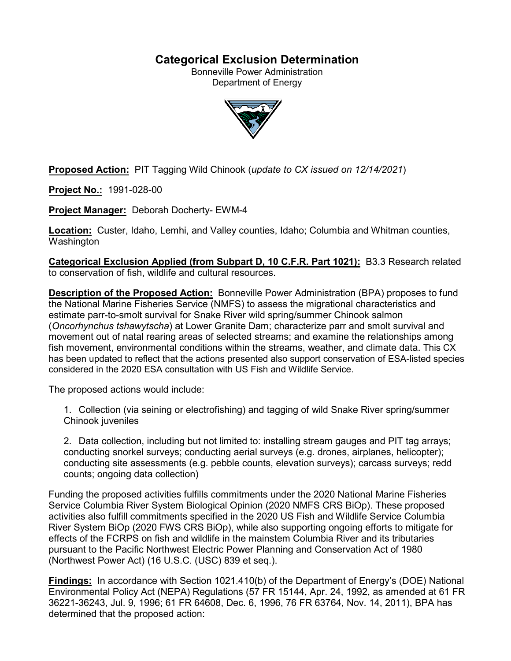## **Categorical Exclusion Determination**

Bonneville Power Administration Department of Energy



**Proposed Action:** PIT Tagging Wild Chinook (*update to CX issued on 12/14/2021*)

**Project No.:** 1991-028-00

**Project Manager:** Deborah Docherty- EWM-4

**Location:** Custer, Idaho, Lemhi, and Valley counties, Idaho; Columbia and Whitman counties, **Washington** 

**Categorical Exclusion Applied (from Subpart D, 10 C.F.R. Part 1021):** B3.3 Research related to conservation of fish, wildlife and cultural resources.

**Description of the Proposed Action:** Bonneville Power Administration (BPA) proposes to fund the National Marine Fisheries Service (NMFS) to assess the migrational characteristics and estimate parr-to-smolt survival for Snake River wild spring/summer Chinook salmon (*Oncorhynchus tshawytscha*) at Lower Granite Dam; characterize parr and smolt survival and movement out of natal rearing areas of selected streams; and examine the relationships among fish movement, environmental conditions within the streams, weather, and climate data. This CX has been updated to reflect that the actions presented also support conservation of ESA-listed species considered in the 2020 ESA consultation with US Fish and Wildlife Service.

The proposed actions would include:

1. Collection (via seining or electrofishing) and tagging of wild Snake River spring/summer Chinook juveniles

2. Data collection, including but not limited to: installing stream gauges and PIT tag arrays; conducting snorkel surveys; conducting aerial surveys (e.g. drones, airplanes, helicopter); conducting site assessments (e.g. pebble counts, elevation surveys); carcass surveys; redd counts; ongoing data collection)

Funding the proposed activities fulfills commitments under the 2020 National Marine Fisheries Service Columbia River System Biological Opinion (2020 NMFS CRS BiOp). These proposed activities also fulfill commitments specified in the 2020 US Fish and Wildlife Service Columbia River System BiOp (2020 FWS CRS BiOp), while also supporting ongoing efforts to mitigate for effects of the FCRPS on fish and wildlife in the mainstem Columbia River and its tributaries pursuant to the Pacific Northwest Electric Power Planning and Conservation Act of 1980 (Northwest Power Act) (16 U.S.C. (USC) 839 et seq.).

**Findings:** In accordance with Section 1021.410(b) of the Department of Energy's (DOE) National Environmental Policy Act (NEPA) Regulations (57 FR 15144, Apr. 24, 1992, as amended at 61 FR 36221-36243, Jul. 9, 1996; 61 FR 64608, Dec. 6, 1996, 76 FR 63764, Nov. 14, 2011), BPA has determined that the proposed action: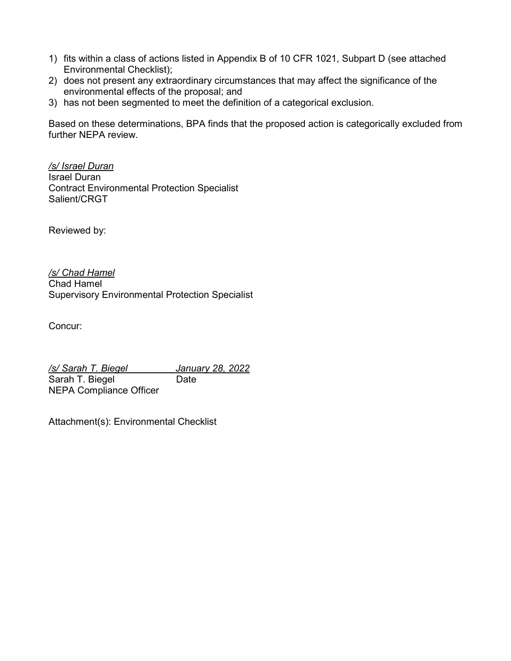- 1) fits within a class of actions listed in Appendix B of 10 CFR 1021, Subpart D (see attached Environmental Checklist);
- 2) does not present any extraordinary circumstances that may affect the significance of the environmental effects of the proposal; and
- 3) has not been segmented to meet the definition of a categorical exclusion.

Based on these determinations, BPA finds that the proposed action is categorically excluded from further NEPA review.

*/s/ Israel Duran* Israel Duran Contract Environmental Protection Specialist Salient/CRGT

Reviewed by:

*/s/ Chad Hamel* Chad Hamel Supervisory Environmental Protection Specialist

Concur:

*/s/ Sarah T. Biegel January 28, 2022* Sarah T. Biegel Date NEPA Compliance Officer

Attachment(s): Environmental Checklist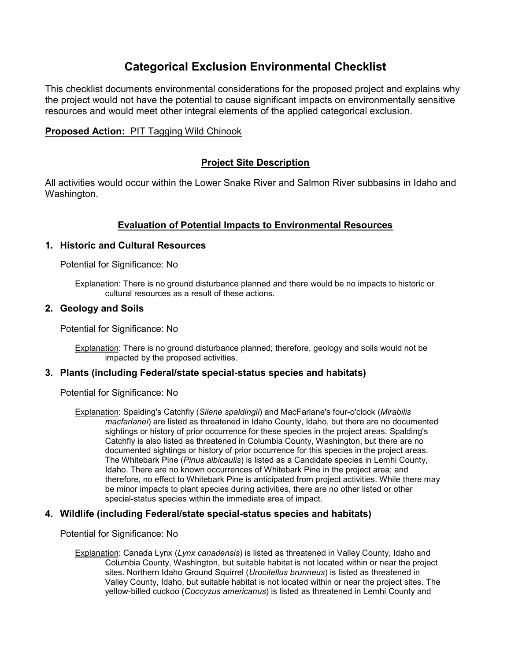# **Categorical Exclusion Environmental Checklist**

This checklist documents environmental considerations for the proposed project and explains why the project would not have the potential to cause significant impacts on environmentally sensitive resources and would meet other integral elements of the applied categorical exclusion.

## **Proposed Action:** PIT Tagging Wild Chinook

## **Project Site Description**

All activities would occur within the Lower Snake River and Salmon River subbasins in Idaho and Washington.

## **Evaluation of Potential Impacts to Environmental Resources**

#### **1. Historic and Cultural Resources**

Potential for Significance: No

Explanation: There is no ground disturbance planned and there would be no impacts to historic or cultural resources as a result of these actions.

#### **2. Geology and Soils**

Potential for Significance: No

Explanation: There is no ground disturbance planned; therefore, geology and soils would not be impacted by the proposed activities.

#### **3. Plants (including Federal/state special-status species and habitats)**

Potential for Significance: No

Explanation: Spalding's Catchfly (*Silene spaldingii*) and MacFarlane's four-o'clock (*Mirabilis macfarlanei*) are listed as threatened in Idaho County, Idaho, but there are no documented sightings or history of prior occurrence for these species in the project areas. Spalding's Catchfly is also listed as threatened in Columbia County, Washington, but there are no documented sightings or history of prior occurrence for this species in the project areas. The Whitebark Pine (*Pinus albicaulis*) is listed as a Candidate species in Lemhi County, Idaho. There are no known occurrences of Whitebark Pine in the project area; and therefore, no effect to Whitebark Pine is anticipated from project activities. While there may be minor impacts to plant species during activities, there are no other listed or other special-status species within the immediate area of impact.

## **4. Wildlife (including Federal/state special-status species and habitats)**

Potential for Significance: No

Explanation: Canada Lynx (*Lynx canadensis*) is listed as threatened in Valley County, Idaho and Columbia County, Washington, but suitable habitat is not located within or near the project sites. Northern Idaho Ground Squirrel (*Urocitellus brunneus*) is listed as threatened in Valley County, Idaho, but suitable habitat is not located within or near the project sites. The yellow-billed cuckoo (*Coccyzus americanus*) is listed as threatened in Lemhi County and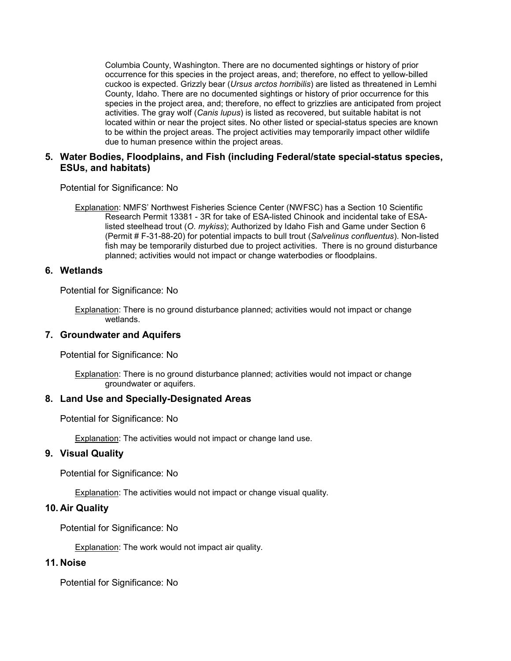Columbia County, Washington. There are no documented sightings or history of prior occurrence for this species in the project areas, and; therefore, no effect to yellow-billed cuckoo is expected. Grizzly bear (*Ursus arctos horribilis*) are listed as threatened in Lemhi County, Idaho. There are no documented sightings or history of prior occurrence for this species in the project area, and; therefore, no effect to grizzlies are anticipated from project activities. The gray wolf (*Canis lupus*) is listed as recovered, but suitable habitat is not located within or near the project sites. No other listed or special-status species are known to be within the project areas. The project activities may temporarily impact other wildlife due to human presence within the project areas.

## **5. Water Bodies, Floodplains, and Fish (including Federal/state special-status species, ESUs, and habitats)**

Potential for Significance: No

Explanation: NMFS' Northwest Fisheries Science Center (NWFSC) has a Section 10 Scientific Research Permit 13381 - 3R for take of ESA-listed Chinook and incidental take of ESAlisted steelhead trout (*O. mykiss*); Authorized by Idaho Fish and Game under Section 6 (Permit # F-31-88-20) for potential impacts to bull trout (*Salvelinus confluentus*). Non-listed fish may be temporarily disturbed due to project activities. There is no ground disturbance planned; activities would not impact or change waterbodies or floodplains.

#### **6. Wetlands**

Potential for Significance: No

Explanation: There is no ground disturbance planned; activities would not impact or change wetlands.

#### **7. Groundwater and Aquifers**

Potential for Significance: No

Explanation: There is no ground disturbance planned; activities would not impact or change groundwater or aquifers.

#### **8. Land Use and Specially-Designated Areas**

Potential for Significance: No

Explanation: The activities would not impact or change land use.

#### **9. Visual Quality**

Potential for Significance: No

Explanation: The activities would not impact or change visual quality.

#### **10. Air Quality**

Potential for Significance: No

Explanation: The work would not impact air quality.

#### **11. Noise**

Potential for Significance: No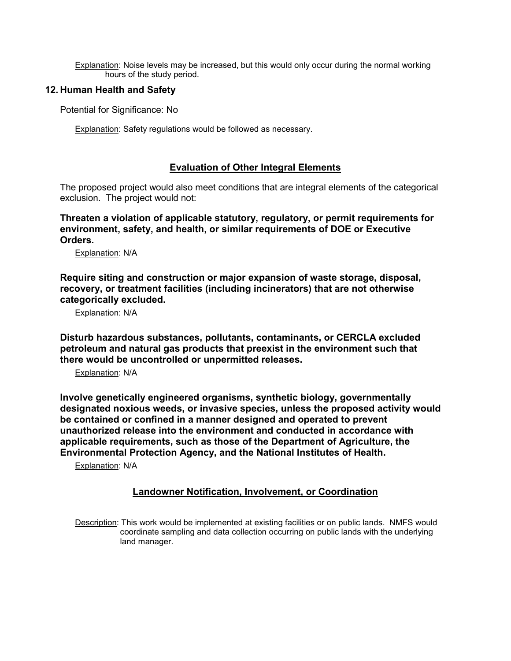Explanation: Noise levels may be increased, but this would only occur during the normal working hours of the study period.

## **12. Human Health and Safety**

Potential for Significance: No

Explanation: Safety regulations would be followed as necessary.

## **Evaluation of Other Integral Elements**

The proposed project would also meet conditions that are integral elements of the categorical exclusion. The project would not:

**Threaten a violation of applicable statutory, regulatory, or permit requirements for environment, safety, and health, or similar requirements of DOE or Executive Orders.**

Explanation: N/A

**Require siting and construction or major expansion of waste storage, disposal, recovery, or treatment facilities (including incinerators) that are not otherwise categorically excluded.**

Explanation: N/A

**Disturb hazardous substances, pollutants, contaminants, or CERCLA excluded petroleum and natural gas products that preexist in the environment such that there would be uncontrolled or unpermitted releases.**

Explanation: N/A

**Involve genetically engineered organisms, synthetic biology, governmentally designated noxious weeds, or invasive species, unless the proposed activity would be contained or confined in a manner designed and operated to prevent unauthorized release into the environment and conducted in accordance with applicable requirements, such as those of the Department of Agriculture, the Environmental Protection Agency, and the National Institutes of Health.**

Explanation: N/A

## **Landowner Notification, Involvement, or Coordination**

Description: This work would be implemented at existing facilities or on public lands. NMFS would coordinate sampling and data collection occurring on public lands with the underlying land manager.